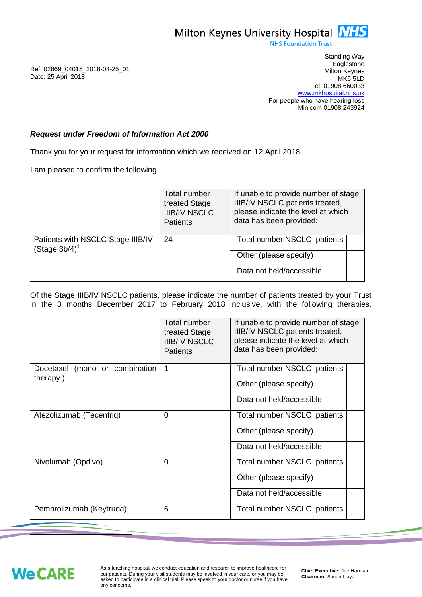

**NHS Foundation Trust** 

Ref: 02869\_04015\_2018-04-25\_01 Date: 25 April 2018

Standing Way **Eaglestone** Milton Keynes MK6 5LD Tel: 01908 660033 [www.mkhospital.nhs.uk](http://www.mkhospital.nhs.uk/) For people who have hearing loss Minicom 01908 243924

## *Request under Freedom of Information Act 2000*

Thank you for your request for information which we received on 12 April 2018.

I am pleased to confirm the following.

|                                                       | Total number<br>treated Stage<br><b>IIIB/IV NSCLC</b><br><b>Patients</b> | If unable to provide number of stage<br>IIIB/IV NSCLC patients treated,<br>please indicate the level at which<br>data has been provided: |
|-------------------------------------------------------|--------------------------------------------------------------------------|------------------------------------------------------------------------------------------------------------------------------------------|
| Patients with NSCLC Stage IIIB/IV<br>$(Stage 3b/4)^1$ | 24                                                                       | Total number NSCLC patients                                                                                                              |
|                                                       |                                                                          | Other (please specify)                                                                                                                   |
|                                                       |                                                                          | Data not held/accessible                                                                                                                 |

Of the Stage IIIB/IV NSCLC patients, please indicate the number of patients treated by your Trust in the 3 months December 2017 to February 2018 inclusive, with the following therapies.

|                                            | Total number<br>treated Stage<br><b>IIIB/IV NSCLC</b><br><b>Patients</b> | If unable to provide number of stage<br>IIIB/IV NSCLC patients treated,<br>please indicate the level at which<br>data has been provided: |
|--------------------------------------------|--------------------------------------------------------------------------|------------------------------------------------------------------------------------------------------------------------------------------|
| Docetaxel (mono or combination<br>therapy) | 1                                                                        | Total number NSCLC patients                                                                                                              |
|                                            |                                                                          | Other (please specify)                                                                                                                   |
|                                            |                                                                          | Data not held/accessible                                                                                                                 |
| Atezolizumab (Tecentriq)                   | $\Omega$                                                                 | Total number NSCLC patients                                                                                                              |
|                                            |                                                                          | Other (please specify)                                                                                                                   |
|                                            |                                                                          | Data not held/accessible                                                                                                                 |
| Nivolumab (Opdivo)                         | $\Omega$                                                                 | Total number NSCLC patients                                                                                                              |
|                                            |                                                                          | Other (please specify)                                                                                                                   |
|                                            |                                                                          | Data not held/accessible                                                                                                                 |
| Pembrolizumab (Keytruda)                   | 6                                                                        | Total number NSCLC patients                                                                                                              |

**We CARE** 

j